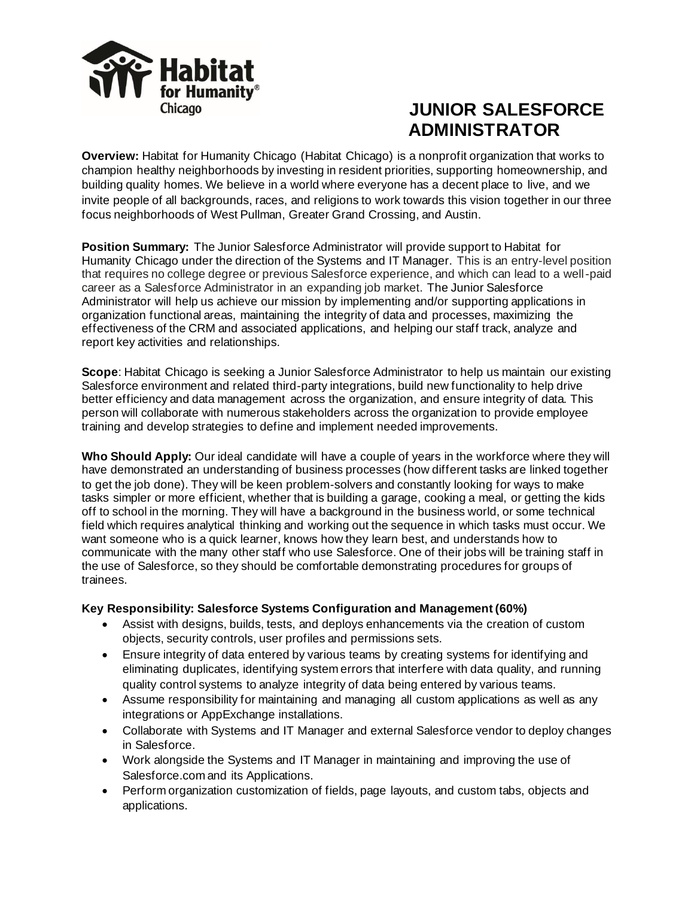

# **JUNIOR SALESFORCE ADMINISTRATOR**

**Overview:** Habitat for Humanity Chicago (Habitat Chicago) is a nonprofit organization that works to champion healthy neighborhoods by investing in resident priorities, supporting homeownership, and building quality homes. We believe in a world where everyone has a decent place to live, and we invite people of all backgrounds, races, and religions to work towards this vision together in our three focus neighborhoods of West Pullman, Greater Grand Crossing, and Austin.

**Position Summary:** The Junior Salesforce Administrator will provide support to Habitat for Humanity Chicago under the direction of the Systems and IT Manager. This is an entry-level position that requires no college degree or previous Salesforce experience, and which can lead to a well-paid career as a Salesforce Administrator in an expanding job market. The Junior Salesforce Administrator will help us achieve our mission by implementing and/or supporting applications in organization functional areas, maintaining the integrity of data and processes, maximizing the effectiveness of the CRM and associated applications, and helping our staff track, analyze and report key activities and relationships.

**Scope**: Habitat Chicago is seeking a Junior Salesforce Administrator to help us maintain our existing Salesforce environment and related third-party integrations, build new functionality to help drive better efficiency and data management across the organization, and ensure integrity of data. This person will collaborate with numerous stakeholders across the organization to provide employee training and develop strategies to define and implement needed improvements.

**Who Should Apply:** Our ideal candidate will have a couple of years in the workforce where they will have demonstrated an understanding of business processes (how different tasks are linked together to get the job done). They will be keen problem-solvers and constantly looking for ways to make tasks simpler or more efficient, whether that is building a garage, cooking a meal, or getting the kids off to school in the morning. They will have a background in the business world, or some technical field which requires analytical thinking and working out the sequence in which tasks must occur. We want someone who is a quick learner, knows how they learn best, and understands how to communicate with the many other staff who use Salesforce. One of their jobs will be training staff in the use of Salesforce, so they should be comfortable demonstrating procedures for groups of trainees.

## **Key Responsibility: Salesforce Systems Configuration and Management (60%)**

- Assist with designs, builds, tests, and deploys enhancements via the creation of custom objects, security controls, user profiles and permissions sets.
- Ensure integrity of data entered by various teams by creating systems for identifying and eliminating duplicates, identifying system errors that interfere with data quality, and running quality control systems to analyze integrity of data being entered by various teams.
- Assume responsibility for maintaining and managing all custom applications as well as any integrations or AppExchange installations.
- Collaborate with Systems and IT Manager and external Salesforce vendor to deploy changes in Salesforce.
- Work alongside the Systems and IT Manager in maintaining and improving the use of Salesforce.com and its Applications.
- Perform organization customization of fields, page layouts, and custom tabs, objects and applications.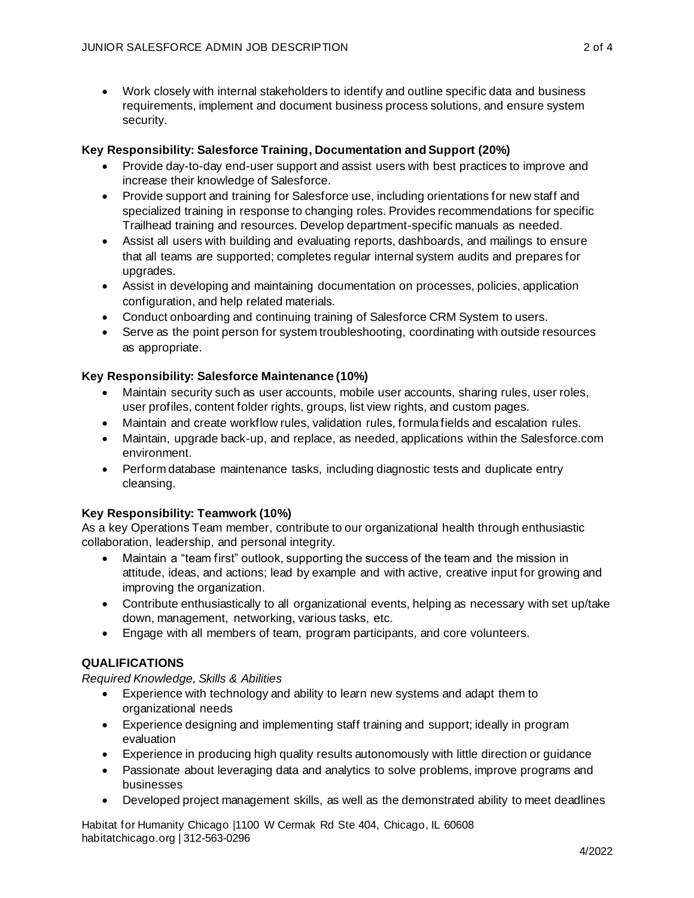• Work closely with internal stakeholders to identify and outline specific data and business requirements, implement and document business process solutions, and ensure system security.

## **Key Responsibility: Salesforce Training, Documentation and Support (20%)**

- Provide day-to-day end-user support and assist users with best practices to improve and increase their knowledge of Salesforce.
- Provide support and training for Salesforce use, including orientations for new staff and specialized training in response to changing roles. Provides recommendations for specific Trailhead training and resources. Develop department-specific manuals as needed.
- Assist all users with building and evaluating reports, dashboards, and mailings to ensure that all teams are supported; completes regular internal system audits and prepares for upgrades.
- Assist in developing and maintaining documentation on processes, policies, application configuration, and help related materials.
- Conduct onboarding and continuing training of Salesforce CRM System to users.
- Serve as the point person for system troubleshooting, coordinating with outside resources as appropriate.

## **Key Responsibility: Salesforce Maintenance (10%)**

- Maintain security such as user accounts, mobile user accounts, sharing rules, user roles, user profiles, content folder rights, groups, list view rights, and custom pages.
- Maintain and create workflow rules, validation rules, formula fields and escalation rules.
- Maintain, upgrade back-up, and replace, as needed, applications within the Salesforce.com environment.
- Perform database maintenance tasks, including diagnostic tests and duplicate entry cleansing.

## **Key Responsibility: Teamwork (10%)**

As a key Operations Team member, contribute to our organizational health through enthusiastic collaboration, leadership, and personal integrity.

- Maintain a "team first" outlook, supporting the success of the team and the mission in attitude, ideas, and actions; lead by example and with active, creative input for growing and improving the organization.
- Contribute enthusiastically to all organizational events, helping as necessary with set up/take down, management, networking, various tasks, etc.
- Engage with all members of team, program participants, and core volunteers.

## **QUALIFICATIONS**

## *Required Knowledge, Skills & Abilities*

- Experience with technology and ability to learn new systems and adapt them to organizational needs
- Experience designing and implementing staff training and support; ideally in program evaluation
- Experience in producing high quality results autonomously with little direction or guidance
- Passionate about leveraging data and analytics to solve problems, improve programs and businesses
- Developed project management skills, as well as the demonstrated ability to meet deadlines

Habitat for Humanity Chicago |1100 W Cermak Rd Ste 404, Chicago, IL 60608 habitatchicago.org | 312-563-0296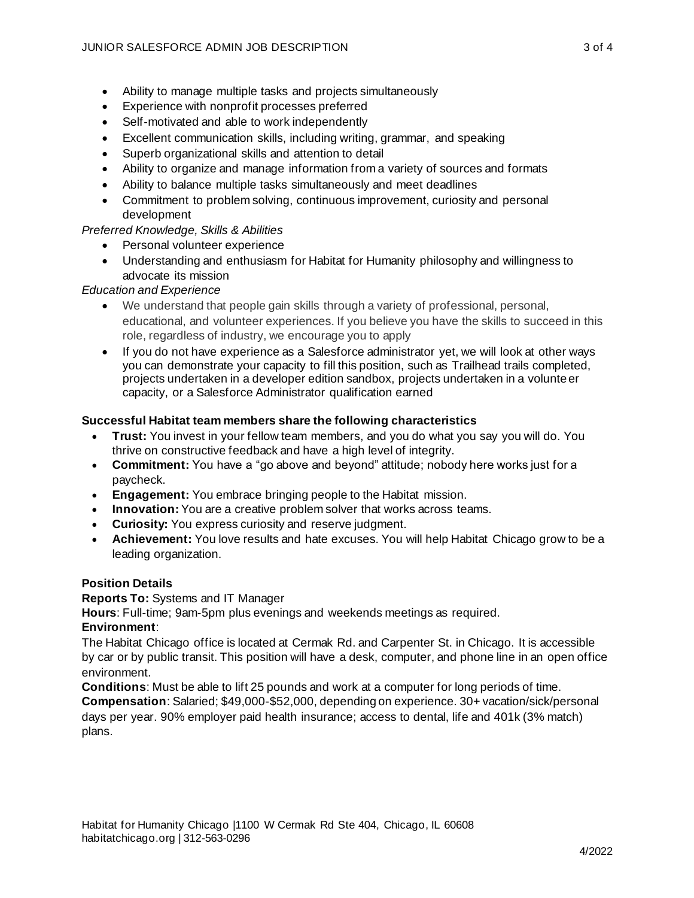- Ability to manage multiple tasks and projects simultaneously
- Experience with nonprofit processes preferred
- Self-motivated and able to work independently
- Excellent communication skills, including writing, grammar, and speaking
- Superb organizational skills and attention to detail
- Ability to organize and manage information from a variety of sources and formats
- Ability to balance multiple tasks simultaneously and meet deadlines
- Commitment to problem solving, continuous improvement, curiosity and personal development

## *Preferred Knowledge, Skills & Abilities*

- Personal volunteer experience
- Understanding and enthusiasm for Habitat for Humanity philosophy and willingness to advocate its mission

## *Education and Experience*

- We understand that people gain skills through a variety of professional, personal, educational, and volunteer experiences. If you believe you have the skills to succeed in this role, regardless of industry, we encourage you to apply
- If you do not have experience as a Salesforce administrator yet, we will look at other ways you can demonstrate your capacity to fill this position, such as Trailhead trails completed, projects undertaken in a developer edition sandbox, projects undertaken in a volunteer capacity, or a Salesforce Administrator qualification earned

## **Successful Habitat team members share the following characteristics**

- **Trust:** You invest in your fellow team members, and you do what you say you will do. You thrive on constructive feedback and have a high level of integrity.
- **Commitment:** You have a "go above and beyond" attitude; nobody here works just for a paycheck.
- **Engagement:** You embrace bringing people to the Habitat mission.
- **Innovation:** You are a creative problem solver that works across teams.
- **Curiosity:** You express curiosity and reserve judgment.
- **Achievement:** You love results and hate excuses. You will help Habitat Chicago grow to be a leading organization.

#### **Position Details**

**Reports To:** Systems and IT Manager

**Hours**: Full-time; 9am-5pm plus evenings and weekends meetings as required.

#### **Environment**:

The Habitat Chicago office is located at Cermak Rd. and Carpenter St. in Chicago. It is accessible by car or by public transit. This position will have a desk, computer, and phone line in an open office environment.

**Conditions**: Must be able to lift 25 pounds and work at a computer for long periods of time. **Compensation**: Salaried; \$49,000-\$52,000, depending on experience. 30+ vacation/sick/personal days per year. 90% employer paid health insurance; access to dental, life and 401k (3% match) plans.